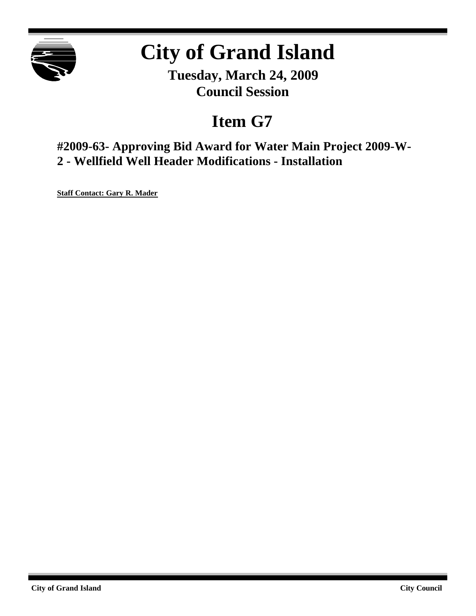

# **City of Grand Island**

**Tuesday, March 24, 2009 Council Session**

# **Item G7**

**#2009-63- Approving Bid Award for Water Main Project 2009-W-2 - Wellfield Well Header Modifications - Installation**

**Staff Contact: Gary R. Mader**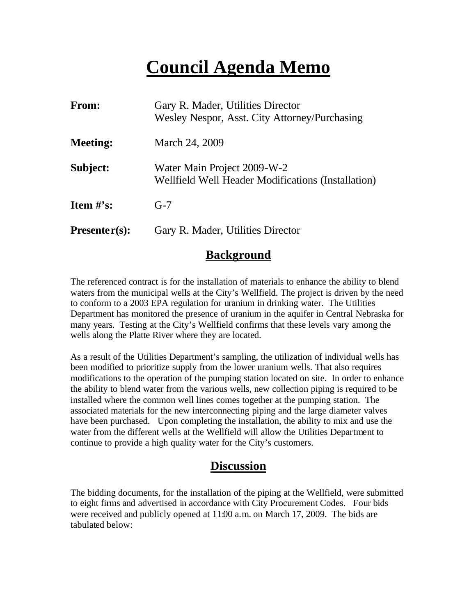# **Council Agenda Memo**

| From:           | Gary R. Mader, Utilities Director<br>Wesley Nespor, Asst. City Attorney/Purchasing |
|-----------------|------------------------------------------------------------------------------------|
| <b>Meeting:</b> | March 24, 2009                                                                     |
| Subject:        | Water Main Project 2009-W-2<br>Wellfield Well Header Modifications (Installation)  |
| Item $\#$ 's:   | $G-7$                                                                              |
| $Presenter(s):$ | Gary R. Mader, Utilities Director                                                  |

#### **Background**

The referenced contract is for the installation of materials to enhance the ability to blend waters from the municipal wells at the City's Wellfield. The project is driven by the need to conform to a 2003 EPA regulation for uranium in drinking water. The Utilities Department has monitored the presence of uranium in the aquifer in Central Nebraska for many years. Testing at the City's Wellfield confirms that these levels vary among the wells along the Platte River where they are located.

As a result of the Utilities Department's sampling, the utilization of individual wells has been modified to prioritize supply from the lower uranium wells. That also requires modifications to the operation of the pumping station located on site. In order to enhance the ability to blend water from the various wells, new collection piping is required to be installed where the common well lines comes together at the pumping station. The associated materials for the new interconnecting piping and the large diameter valves have been purchased. Upon completing the installation, the ability to mix and use the water from the different wells at the Wellfield will allow the Utilities Department to continue to provide a high quality water for the City's customers.

### **Discussion**

The bidding documents, for the installation of the piping at the Wellfield, were submitted to eight firms and advertised in accordance with City Procurement Codes. Four bids were received and publicly opened at 11:00 a.m. on March 17, 2009. The bids are tabulated below: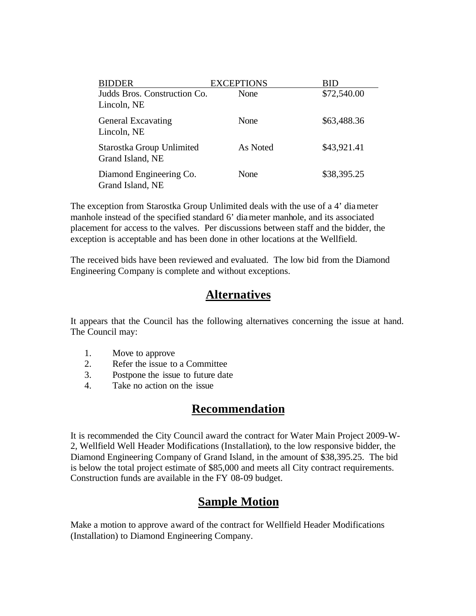| <b>BIDDER</b>                                 | <b>EXCEPTIONS</b> | BID         |
|-----------------------------------------------|-------------------|-------------|
| Judds Bros. Construction Co.<br>Lincoln, NE   | None              | \$72,540.00 |
| <b>General Excavating</b><br>Lincoln, NE      | None              | \$63,488.36 |
| Starostka Group Unlimited<br>Grand Island, NE | As Noted          | \$43,921.41 |
| Diamond Engineering Co.<br>Grand Island, NE   | None              | \$38,395.25 |

The exception from Starostka Group Unlimited deals with the use of a 4' diameter manhole instead of the specified standard 6' diameter manhole, and its associated placement for access to the valves. Per discussions between staff and the bidder, the exception is acceptable and has been done in other locations at the Wellfield.

The received bids have been reviewed and evaluated. The low bid from the Diamond Engineering Company is complete and without exceptions.

## **Alternatives**

It appears that the Council has the following alternatives concerning the issue at hand. The Council may:

- 1. Move to approve
- 2. Refer the issue to a Committee
- 3. Postpone the issue to future date
- 4. Take no action on the issue

#### **Recommendation**

It is recommended the City Council award the contract for Water Main Project 2009-W-2, Wellfield Well Header Modifications (Installation), to the low responsive bidder, the Diamond Engineering Company of Grand Island, in the amount of \$38,395.25. The bid is below the total project estimate of \$85,000 and meets all City contract requirements. Construction funds are available in the FY 08-09 budget.

### **Sample Motion**

Make a motion to approve award of the contract for Wellfield Header Modifications (Installation) to Diamond Engineering Company.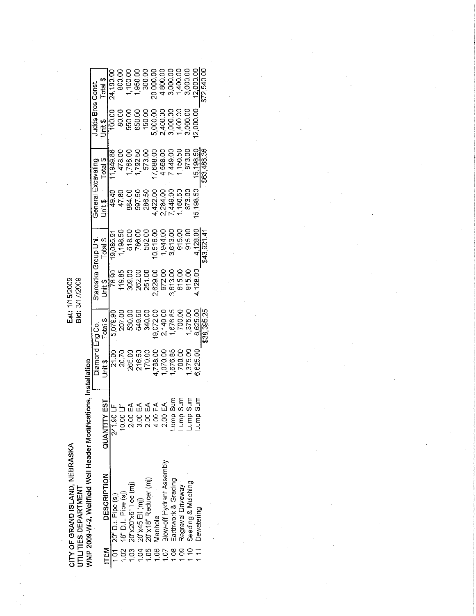CITY OF GRAND ISLAND, NEBRASKA<br>UTILITIES DEPARTMENT<br>WMP 2009-W-2, Welffield Well Header Modifications, Insta<u>llation</u>

Est: 1/15/2009<br>Bid: 3/17/2009

| <b>TEM</b>      | DESCRIPTION                   |                                                                                   |                                                                                                                                                                                                                                                                                                                                                                                                                              |                                                                                                                                                                                                                                                        |                                                                                                                                                                                                                                                             |                                                                                                                                                                                                                                                                                                                                                                               |                                                                                                                                                                                                                                                                              |  |
|-----------------|-------------------------------|-----------------------------------------------------------------------------------|------------------------------------------------------------------------------------------------------------------------------------------------------------------------------------------------------------------------------------------------------------------------------------------------------------------------------------------------------------------------------------------------------------------------------|--------------------------------------------------------------------------------------------------------------------------------------------------------------------------------------------------------------------------------------------------------|-------------------------------------------------------------------------------------------------------------------------------------------------------------------------------------------------------------------------------------------------------------|-------------------------------------------------------------------------------------------------------------------------------------------------------------------------------------------------------------------------------------------------------------------------------------------------------------------------------------------------------------------------------|------------------------------------------------------------------------------------------------------------------------------------------------------------------------------------------------------------------------------------------------------------------------------|--|
|                 | $1.01$ $20"$ $D.1$ . Pipe (s) |                                                                                   |                                                                                                                                                                                                                                                                                                                                                                                                                              |                                                                                                                                                                                                                                                        |                                                                                                                                                                                                                                                             |                                                                                                                                                                                                                                                                                                                                                                               |                                                                                                                                                                                                                                                                              |  |
| ខ្ម             | 18" D.I., Pipe (sj)           |                                                                                   |                                                                                                                                                                                                                                                                                                                                                                                                                              |                                                                                                                                                                                                                                                        |                                                                                                                                                                                                                                                             |                                                                                                                                                                                                                                                                                                                                                                               |                                                                                                                                                                                                                                                                              |  |
| $\frac{3}{103}$ | 20"x20"x6" Tee (mj).          | QUANTITY EST<br>- 241.90 LF<br>- 10.00 LF<br>- 10.00 EA<br>- 2.00 EA<br>- 2.00 EA |                                                                                                                                                                                                                                                                                                                                                                                                                              |                                                                                                                                                                                                                                                        |                                                                                                                                                                                                                                                             |                                                                                                                                                                                                                                                                                                                                                                               |                                                                                                                                                                                                                                                                              |  |
| 104             | 20"x45 Ell (mj)               |                                                                                   |                                                                                                                                                                                                                                                                                                                                                                                                                              |                                                                                                                                                                                                                                                        |                                                                                                                                                                                                                                                             |                                                                                                                                                                                                                                                                                                                                                                               |                                                                                                                                                                                                                                                                              |  |
| 105             | 20"x18" Reducer (mj)          |                                                                                   |                                                                                                                                                                                                                                                                                                                                                                                                                              |                                                                                                                                                                                                                                                        |                                                                                                                                                                                                                                                             |                                                                                                                                                                                                                                                                                                                                                                               |                                                                                                                                                                                                                                                                              |  |
| 1.06            | Manhole                       | ዊዊዊዊ ទិទ្ឋិទ្ឋិទ្<br>$rac{1}{4}$                                                  |                                                                                                                                                                                                                                                                                                                                                                                                                              |                                                                                                                                                                                                                                                        | $\begin{array}{r} \text{General Exc} \\ \hline \text{Oeneral Exc} \\ \text{Unit 3} \\ \hline \text{Unit 4, 80} \\ 47,80 \\ 637,50 \\ 7,7,80 \\ 44,90 \\ 657,80 \\ 44,90 \\ 7,7,7,8 \\ 87,3,00 \\ 7,7,80 \\ 87,3,00 \\ 15,198,50 \\ \text{To}\\ \end{array}$ | $\begin{array}{r l} \hline \text{coavating} \\ \hline \text{Total 8} \\ \hline \text{Total 9} \\ \hline \text{Total 9} \\ \text{1,949.06} \\ \text{1,768.00} \\ \text{1,768.00} \\ \text{1,768.00} \\ \text{1,789.00} \\ \text{1,868.00} \\ \text{1,968.00} \\ \text{1,968.00} \\ \text{1,968.00} \\ \text{1,968.00} \\ \text{1,968.00} \\ \text{1,968.00} \\ \text{1,968.00$ | Judds Bros Const.<br>Ton 16<br>Ton 00<br>160.00<br>160.00<br>160.00<br>1700.00<br>1700.00<br>1700.00<br>1700.00<br>1700.00<br>1700.00<br>1700.00<br>17000.00<br>17000.00<br>17000.00<br>17000.00<br>17000.00<br>17000.00<br>17000.00<br>17000.00<br>17000.00<br>17000.00<br> |  |
| 1.07            | Blow-off Hydrant Assembly     | ี<br>ดี                                                                           |                                                                                                                                                                                                                                                                                                                                                                                                                              |                                                                                                                                                                                                                                                        |                                                                                                                                                                                                                                                             |                                                                                                                                                                                                                                                                                                                                                                               |                                                                                                                                                                                                                                                                              |  |
| $\frac{8}{1}$   | Earthwork & Grading           | luml<br>T                                                                         |                                                                                                                                                                                                                                                                                                                                                                                                                              |                                                                                                                                                                                                                                                        |                                                                                                                                                                                                                                                             |                                                                                                                                                                                                                                                                                                                                                                               |                                                                                                                                                                                                                                                                              |  |
| 1.09            | Regravel Driveway             | <u>Timi</u>                                                                       |                                                                                                                                                                                                                                                                                                                                                                                                                              |                                                                                                                                                                                                                                                        |                                                                                                                                                                                                                                                             |                                                                                                                                                                                                                                                                                                                                                                               |                                                                                                                                                                                                                                                                              |  |
| 1.10            | Seeding & Mulching            | mi                                                                                |                                                                                                                                                                                                                                                                                                                                                                                                                              |                                                                                                                                                                                                                                                        |                                                                                                                                                                                                                                                             |                                                                                                                                                                                                                                                                                                                                                                               |                                                                                                                                                                                                                                                                              |  |
| $\frac{1}{2}$   | Dewatering                    | <b>E</b>                                                                          |                                                                                                                                                                                                                                                                                                                                                                                                                              |                                                                                                                                                                                                                                                        |                                                                                                                                                                                                                                                             |                                                                                                                                                                                                                                                                                                                                                                               |                                                                                                                                                                                                                                                                              |  |
|                 |                               |                                                                                   | $\begin{array}{r} \mathbb{E}[\mathsf{u}] = \mathsf{u} \mathsf{u} \mathsf{u} \mathsf{u} \mathsf{u} \mathsf{u} \mathsf{u} \mathsf{u} \mathsf{u} \mathsf{u} \mathsf{u} \mathsf{u} \mathsf{u} \mathsf{u} \mathsf{u} \mathsf{u} \mathsf{u} \mathsf{u} \mathsf{u} \mathsf{u} \mathsf{u} \mathsf{u} \mathsf{u} \mathsf{u} \mathsf{u} \mathsf{u} \mathsf{u} \mathsf{u} \mathsf{u} \mathsf{u} \mathsf{u} \mathsf{u} \mathsf{u} \math$ | Starostka Group Uni.<br>Unit \$ Total \$ 196.591<br>78.90 19,085.91<br>119.85 1,198.50<br>119.85 1,198.50<br>19.85 1,198.50<br>262.00 10.516.00<br>261.00 1,516.00 4,128.00<br>3,613.00 4,128.00<br>915.00 4,128.00<br>4,128.00 4,128.00<br>4,128.00 4 |                                                                                                                                                                                                                                                             |                                                                                                                                                                                                                                                                                                                                                                               |                                                                                                                                                                                                                                                                              |  |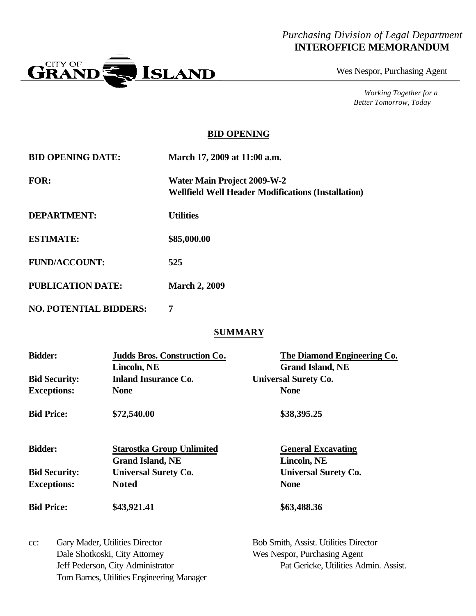#### *Purchasing Division of Legal Department* **INTEROFFICE MEMORANDUM**



Wes Nespor, Purchasing Agent

*Working Together for a Better Tomorrow, Today*

#### **BID OPENING**

| <b>BID OPENING DATE:</b> | March 17, 2009 at 11:00 a.m.                                                                    |
|--------------------------|-------------------------------------------------------------------------------------------------|
| <b>FOR:</b>              | <b>Water Main Project 2009-W-2</b><br><b>Wellfield Well Header Modifications (Installation)</b> |
| <b>DEPARTMENT:</b>       | <b>Utilities</b>                                                                                |
| <b>ESTIMATE:</b>         | \$85,000.00                                                                                     |
| <b>FUND/ACCOUNT:</b>     | 525                                                                                             |
| <b>PUBLICATION DATE:</b> | <b>March 2, 2009</b>                                                                            |

**NO. POTENTIAL BIDDERS: 7**

Tom Barnes, Utilities Engineering Manager

#### **SUMMARY**

| <b>Bidder:</b>    |                      | <b>Judds Bros. Construction Co.</b><br>Lincoln, NE | The Diamond Engineering Co.<br><b>Grand Island, NE</b> |  |
|-------------------|----------------------|----------------------------------------------------|--------------------------------------------------------|--|
|                   | <b>Bid Security:</b> | <b>Inland Insurance Co.</b>                        | <b>Universal Surety Co.</b>                            |  |
|                   | <b>Exceptions:</b>   | <b>None</b>                                        | <b>None</b>                                            |  |
| <b>Bid Price:</b> |                      | \$72,540.00                                        | \$38,395.25                                            |  |
| <b>Bidder:</b>    |                      | <b>Starostka Group Unlimited</b>                   | <b>General Excavating</b>                              |  |
|                   |                      | <b>Grand Island, NE</b>                            | Lincoln, NE                                            |  |
|                   | <b>Bid Security:</b> | <b>Universal Surety Co.</b>                        | <b>Universal Surety Co.</b>                            |  |
|                   | <b>Exceptions:</b>   | <b>Noted</b>                                       | <b>None</b>                                            |  |
| <b>Bid Price:</b> |                      | \$43,921.41                                        | \$63,488.36                                            |  |
| $cc$ :            |                      | Gary Mader, Utilities Director                     | <b>Bob Smith, Assist. Utilities Director</b>           |  |
|                   |                      | Dale Shotkoski, City Attorney                      | Wes Nespor, Purchasing Agent                           |  |
|                   |                      | Jeff Pederson, City Administrator                  | Pat Gericke, Utilities Admin. Assist.                  |  |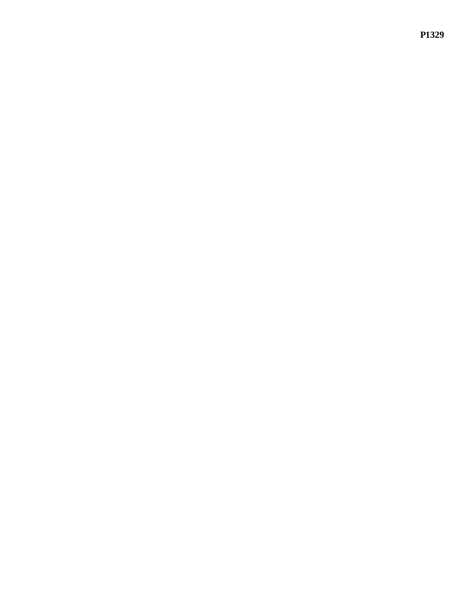**P1329**